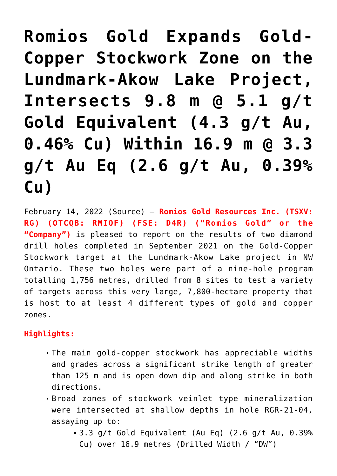**[Romios Gold Expands Gold-](https://investorintel.com/markets/gold-silver-base-metals/gold-precious-metals-news/romios-gold-expands-gold-copper-stockwork-zone-on-the-lundmark-akow-lake-project-intersects-9-8-m-5-1-g-t-gold-equivalent-4-3-g-t-au-0-46-cu-within-16-9-m-3-3-g-t-au-eq-2-6-g-t-au-0-39-cu/)[Copper Stockwork Zone on the](https://investorintel.com/markets/gold-silver-base-metals/gold-precious-metals-news/romios-gold-expands-gold-copper-stockwork-zone-on-the-lundmark-akow-lake-project-intersects-9-8-m-5-1-g-t-gold-equivalent-4-3-g-t-au-0-46-cu-within-16-9-m-3-3-g-t-au-eq-2-6-g-t-au-0-39-cu/) [Lundmark-Akow Lake Project,](https://investorintel.com/markets/gold-silver-base-metals/gold-precious-metals-news/romios-gold-expands-gold-copper-stockwork-zone-on-the-lundmark-akow-lake-project-intersects-9-8-m-5-1-g-t-gold-equivalent-4-3-g-t-au-0-46-cu-within-16-9-m-3-3-g-t-au-eq-2-6-g-t-au-0-39-cu/) [Intersects 9.8 m @ 5.1 g/t](https://investorintel.com/markets/gold-silver-base-metals/gold-precious-metals-news/romios-gold-expands-gold-copper-stockwork-zone-on-the-lundmark-akow-lake-project-intersects-9-8-m-5-1-g-t-gold-equivalent-4-3-g-t-au-0-46-cu-within-16-9-m-3-3-g-t-au-eq-2-6-g-t-au-0-39-cu/) [Gold Equivalent \(4.3 g/t Au,](https://investorintel.com/markets/gold-silver-base-metals/gold-precious-metals-news/romios-gold-expands-gold-copper-stockwork-zone-on-the-lundmark-akow-lake-project-intersects-9-8-m-5-1-g-t-gold-equivalent-4-3-g-t-au-0-46-cu-within-16-9-m-3-3-g-t-au-eq-2-6-g-t-au-0-39-cu/) [0.46% Cu\) Within 16.9 m @ 3.3](https://investorintel.com/markets/gold-silver-base-metals/gold-precious-metals-news/romios-gold-expands-gold-copper-stockwork-zone-on-the-lundmark-akow-lake-project-intersects-9-8-m-5-1-g-t-gold-equivalent-4-3-g-t-au-0-46-cu-within-16-9-m-3-3-g-t-au-eq-2-6-g-t-au-0-39-cu/) [g/t Au Eq \(2.6 g/t Au, 0.39%](https://investorintel.com/markets/gold-silver-base-metals/gold-precious-metals-news/romios-gold-expands-gold-copper-stockwork-zone-on-the-lundmark-akow-lake-project-intersects-9-8-m-5-1-g-t-gold-equivalent-4-3-g-t-au-0-46-cu-within-16-9-m-3-3-g-t-au-eq-2-6-g-t-au-0-39-cu/) [Cu\)](https://investorintel.com/markets/gold-silver-base-metals/gold-precious-metals-news/romios-gold-expands-gold-copper-stockwork-zone-on-the-lundmark-akow-lake-project-intersects-9-8-m-5-1-g-t-gold-equivalent-4-3-g-t-au-0-46-cu-within-16-9-m-3-3-g-t-au-eq-2-6-g-t-au-0-39-cu/)**

February 14, 2022 ([Source](https://www.newsfilecorp.com/release/113728)) — **Romios Gold Resources Inc. (TSXV: RG) (OTCQB: RMIOF) (FSE: D4R) ("Romios Gold" or the "Company")** is pleased to report on the results of two diamond drill holes completed in September 2021 on the Gold-Copper Stockwork target at the Lundmark-Akow Lake project in NW Ontario. These two holes were part of a nine-hole program totalling 1,756 metres, drilled from 8 sites to test a variety of targets across this very large, 7,800-hectare property that is host to at least 4 different types of gold and copper zones.

## **Highlights:**

- The main gold-copper stockwork has appreciable widths and grades across a significant strike length of greater than 125 m and is open down dip and along strike in both directions.
- Broad zones of stockwork veinlet type mineralization were intersected at shallow depths in hole RGR-21-04, assaying up to:
	- 3.3 g/t Gold Equivalent (Au Eq) (2.6 g/t Au, 0.39% Cu) over 16.9 metres (Drilled Width / "DW")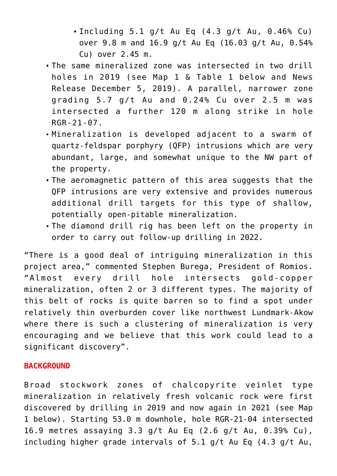- Including 5.1 g/t Au Eq (4.3 g/t Au, 0.46% Cu) over 9.8 m and 16.9 g/t Au Eq (16.03 g/t Au, 0.54% Cu) over 2.45 m.
- The same mineralized zone was intersected in two drill holes in 2019 (see Map 1 & Table 1 below and News Release December 5, 2019). A parallel, narrower zone grading  $5.7$  g/t Au and  $0.24$ % Cu over  $2.5$  m was intersected a further 120 m along strike in hole RGR-21-07.
- Mineralization is developed adjacent to a swarm of quartz-feldspar porphyry (QFP) intrusions which are very abundant, large, and somewhat unique to the NW part of the property.
- The aeromagnetic pattern of this area suggests that the QFP intrusions are very extensive and provides numerous additional drill targets for this type of shallow, potentially open-pitable mineralization.
- The diamond drill rig has been left on the property in order to carry out follow-up drilling in 2022.

"There is a good deal of intriguing mineralization in this project area," commented Stephen Burega, President of Romios. "Almost every drill hole intersects gold-copper mineralization, often 2 or 3 different types. The majority of this belt of rocks is quite barren so to find a spot under relatively thin overburden cover like northwest Lundmark-Akow where there is such a clustering of mineralization is very encouraging and we believe that this work could lead to a significant discovery".

### **BACKGROUND**

Broad stockwork zones of chalcopyrite veinlet type mineralization in relatively fresh volcanic rock were first discovered by drilling in 2019 and now again in 2021 (see Map 1 below). Starting 53.0 m downhole, hole RGR-21-04 intersected 16.9 metres assaying 3.3 g/t Au Eq (2.6 g/t Au, 0.39% Cu), including higher grade intervals of 5.1 g/t Au Eq (4.3 g/t Au,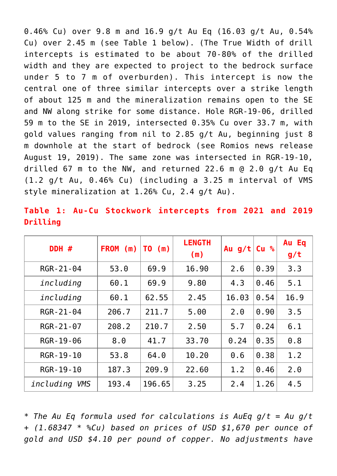0.46% Cu) over 9.8 m and 16.9 g/t Au Eq (16.03 g/t Au, 0.54% Cu) over 2.45 m (see Table 1 below). (The True Width of drill intercepts is estimated to be about 70-80% of the drilled width and they are expected to project to the bedrock surface under 5 to 7 m of overburden). This intercept is now the central one of three similar intercepts over a strike length of about 125 m and the mineralization remains open to the SE and NW along strike for some distance. Hole RGR-19-06, drilled 59 m to the SE in 2019, intersected 0.35% Cu over 33.7 m, with gold values ranging from nil to 2.85 g/t Au, beginning just 8 m downhole at the start of bedrock ([see Romios news release](https://www.newsfilecorp.com/redirect/8ADYYcwvJz) [August 19, 2019\)](https://www.newsfilecorp.com/redirect/8ADYYcwvJz). The same zone was intersected in RGR-19-10, drilled 67 m to the NW, and returned 22.6 m @ 2.0 g/t Au Eq (1.2 g/t Au, 0.46% Cu) (including a 3.25 m interval of VMS style mineralization at 1.26% Cu, 2.4 g/t Au).

|                 |  | Table 1: Au-Cu Stockwork intercepts from 2021 and 2019 |  |  |
|-----------------|--|--------------------------------------------------------|--|--|
| <b>Drilling</b> |  |                                                        |  |  |

| DDH #         | <b>FROM</b><br>(m) | TO (m) | <b>LENGTH</b><br>(m) | Au $g/t$ | Cu <sup>o</sup> | Au Eq<br>g/t |
|---------------|--------------------|--------|----------------------|----------|-----------------|--------------|
| RGR-21-04     | 53.0               | 69.9   | 16.90                | 2.6      | 0.39            | 3.3          |
| including     | 60.1               | 69.9   | 9.80                 | 4.3      | 0.46            | 5.1          |
| including     | 60.1               | 62.55  | 2.45                 | 16.03    | 0.54            | 16.9         |
| RGR-21-04     | 206.7              | 211.7  | 5.00                 | 2.0      | 0.90            | 3.5          |
| RGR-21-07     | 208.2              | 210.7  | 2.50                 | 5.7      | 0.24            | 6.1          |
| RGR-19-06     | 8.0                | 41.7   | 33.70                | 0.24     | 0.35            | 0.8          |
| RGR-19-10     | 53.8               | 64.0   | 10.20                | 0.6      | 0.38            | 1.2          |
| RGR-19-10     | 187.3              | 209.9  | 22.60                | 1.2      | 0.46            | 2.0          |
| including VMS | 193.4              | 196.65 | 3.25                 | 2.4      | 1.26            | 4.5          |

\* *The Au Eq formula used for calculations is AuEq g/t = Au g/t + (1.68347 \* %Cu) based on prices of USD \$1,670 per ounce of gold and USD \$4.10 per pound of copper. No adjustments have*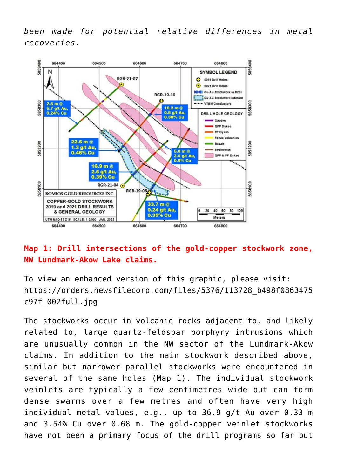*been made for potential relative differences in metal recoveries.*



# **Map 1: Drill intersections of the gold-copper stockwork zone, NW Lundmark-Akow Lake claims.**

To view an enhanced version of this graphic, please visit: [https://orders.newsfilecorp.com/files/5376/113728\\_b498f0863475](https://orders.newsfilecorp.com/files/5376/113728_b498f0863475c97f_002full.jpg) [c97f\\_002full.jpg](https://orders.newsfilecorp.com/files/5376/113728_b498f0863475c97f_002full.jpg)

The stockworks occur in volcanic rocks adjacent to, and likely related to, large quartz-feldspar porphyry intrusions which are unusually common in the NW sector of the Lundmark-Akow claims. In addition to the main stockwork described above, similar but narrower parallel stockworks were encountered in several of the same holes (Map 1). The individual stockwork veinlets are typically a few centimetres wide but can form dense swarms over a few metres and often have very high individual metal values, e.g., up to 36.9 g/t Au over 0.33 m and 3.54% Cu over 0.68 m. The gold-copper veinlet stockworks have not been a primary focus of the drill programs so far but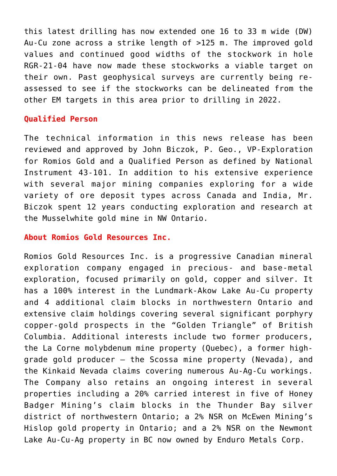this latest drilling has now extended one 16 to 33 m wide (DW) Au-Cu zone across a strike length of >125 m. The improved gold values and continued good widths of the stockwork in hole RGR-21-04 have now made these stockworks a viable target on their own. Past geophysical surveys are currently being reassessed to see if the stockworks can be delineated from the other EM targets in this area prior to drilling in 2022.

## **Qualified Person**

The technical information in this news release has been reviewed and approved by John Biczok, P. Geo., VP-Exploration for Romios Gold and a Qualified Person as defined by National Instrument 43-101. In addition to his extensive experience with several major mining companies exploring for a wide variety of ore deposit types across Canada and India, Mr. Biczok spent 12 years conducting exploration and research at the Musselwhite gold mine in NW Ontario.

### **About Romios Gold Resources Inc.**

Romios Gold Resources Inc. is a progressive Canadian mineral exploration company engaged in precious- and base-metal exploration, focused primarily on gold, copper and silver. It has a 100% interest in the Lundmark-Akow Lake Au-Cu property and 4 additional claim blocks in northwestern Ontario and extensive claim holdings covering several significant porphyry copper-gold prospects in the "Golden Triangle" of British Columbia. Additional interests include two former producers, the La Corne molybdenum mine property (Quebec), a former highgrade gold producer – the Scossa mine property (Nevada), and the Kinkaid Nevada claims covering numerous Au-Ag-Cu workings. The Company also retains an ongoing interest in several properties including a 20% carried interest in five of Honey Badger Mining's claim blocks in the Thunder Bay silver district of northwestern Ontario; a 2% NSR on McEwen Mining's Hislop gold property in Ontario; and a 2% NSR on the Newmont Lake Au-Cu-Ag property in BC now owned by Enduro Metals Corp.